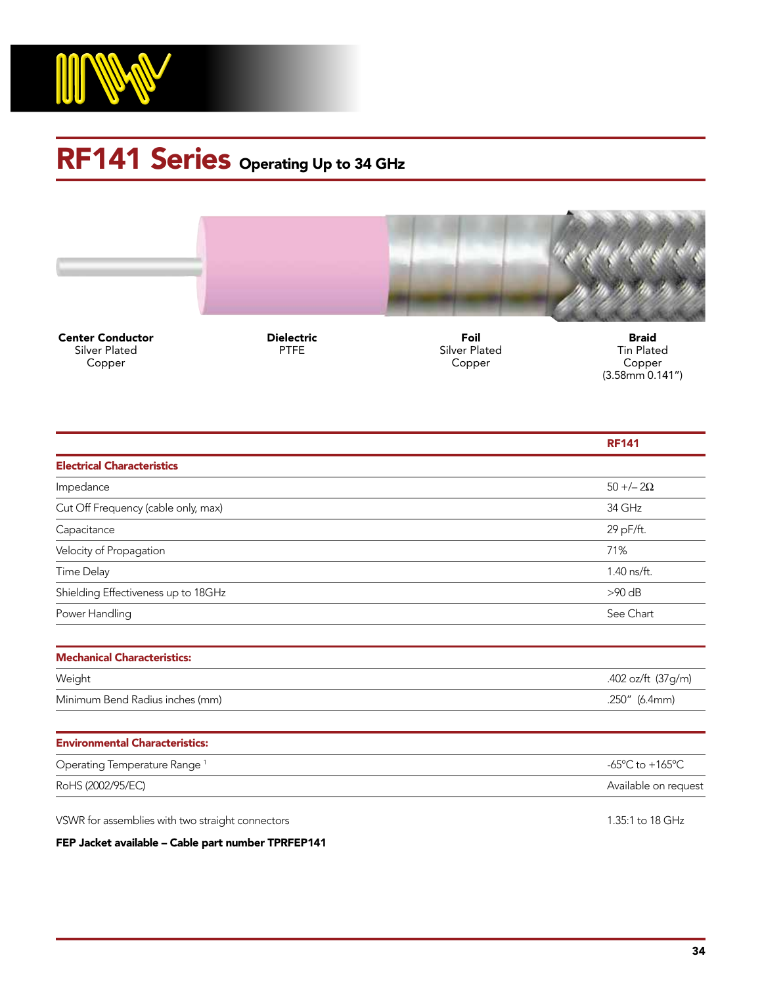

## RF141 Series Operating Up to 34 GHz



Center Conductor Silver Plated Copper

Dielectric PTFE

Foil Silver Plated Copper

Braid Tin Plated Copper (3.58mm 0.141")

|                                          | <b>RF141</b>                                          |
|------------------------------------------|-------------------------------------------------------|
| <b>Electrical Characteristics</b>        |                                                       |
| Impedance                                | $50 + (-20)$                                          |
| Cut Off Frequency (cable only, max)      | 34 GHz                                                |
| Capacitance                              | 29 pF/ft.                                             |
| Velocity of Propagation                  | 71%                                                   |
| <b>Time Delay</b>                        | 1.40 ns/ft.                                           |
| Shielding Effectiveness up to 18GHz      | $>90$ dB                                              |
| Power Handling                           | See Chart                                             |
|                                          |                                                       |
| <b>Mechanical Characteristics:</b>       |                                                       |
| Weight                                   | .402 oz/ft (37g/m)                                    |
| Minimum Bend Radius inches (mm)          | .250" (6.4mm)                                         |
|                                          |                                                       |
| <b>Environmental Characteristics:</b>    |                                                       |
| Operating Temperature Range <sup>1</sup> | -65 $\mathrm{^{\circ}C}$ to +165 $\mathrm{^{\circ}C}$ |
| RoHS (2002/95/EC)                        | Available on request                                  |
|                                          |                                                       |

VSWR for assemblies with two straight connectors and the straight connectors 1.35:1 to 18 GHz

FEP Jacket available – Cable part number TPRFEP141